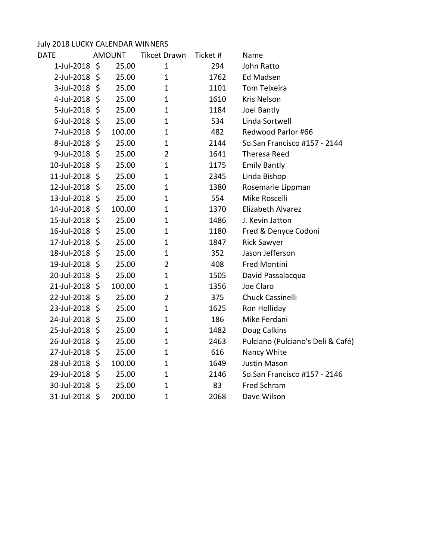## July 2018 LUCKY CALENDAR WINNERS<br>DATE MOUNT Tikcet Di

|                    |        | <b>Tikcet Drawn</b> | Ticket # | Name                              |
|--------------------|--------|---------------------|----------|-----------------------------------|
| 1-Jul-2018<br>\$   | 25.00  | 1                   | 294      | John Ratto                        |
| 2-Jul-2018 \$      | 25.00  | 1                   | 1762     | <b>Ed Madsen</b>                  |
| 3-Jul-2018 \$      | 25.00  | $\mathbf 1$         | 1101     | Tom Teixeira                      |
| 4-Jul-2018<br>\$   | 25.00  | 1                   | 1610     | <b>Kris Nelson</b>                |
| 5-Jul-2018<br>\$   | 25.00  | 1                   | 1184     | Joel Bantly                       |
| 6-Jul-2018 \$      | 25.00  | $\mathbf 1$         | 534      | Linda Sortwell                    |
| 7-Jul-2018<br>\$   | 100.00 | $\mathbf 1$         | 482      | Redwood Parlor #66                |
| 8-Jul-2018 \$      | 25.00  | $\mathbf{1}$        | 2144     | So.San Francisco #157 - 2144      |
| 9-Jul-2018<br>\$   | 25.00  | $\overline{2}$      | 1641     | Theresa Reed                      |
| 10-Jul-2018<br>\$  | 25.00  | 1                   | 1175     | <b>Emily Bantly</b>               |
| 11-Jul-2018 \$     | 25.00  | $\mathbf 1$         | 2345     | Linda Bishop                      |
| 12-Jul-2018<br>-\$ | 25.00  | 1                   | 1380     | Rosemarie Lippman                 |
| 13-Jul-2018 \$     | 25.00  | 1                   | 554      | Mike Roscelli                     |
| 14-Jul-2018 \$     | 100.00 | $\mathbf 1$         | 1370     | Elizabeth Alvarez                 |
| 15-Jul-2018<br>-\$ | 25.00  | 1                   | 1486     | J. Kevin Jatton                   |
| 16-Jul-2018 \$     | 25.00  | $\mathbf 1$         | 1180     | Fred & Denyce Codoni              |
| 17-Jul-2018 \$     | 25.00  | $\mathbf 1$         | 1847     | <b>Rick Sawyer</b>                |
| 18-Jul-2018 \$     | 25.00  | 1                   | 352      | Jason Jefferson                   |
| 19-Jul-2018 \$     | 25.00  | $\overline{2}$      | 408      | Fred Montini                      |
| 20-Jul-2018 \$     | 25.00  | $\mathbf 1$         | 1505     | David Passalacqua                 |
| 21-Jul-2018<br>\$  | 100.00 | $\mathbf 1$         | 1356     | Joe Claro                         |
| 22-Jul-2018 \$     | 25.00  | $\overline{2}$      | 375      | <b>Chuck Cassinelli</b>           |
| 23-Jul-2018 \$     | 25.00  | $\mathbf 1$         | 1625     | Ron Holliday                      |
| 24-Jul-2018<br>\$  | 25.00  | $\mathbf 1$         | 186      | Mike Ferdani                      |
| 25-Jul-2018 \$     | 25.00  | $\mathbf{1}$        | 1482     | Doug Calkins                      |
| 26-Jul-2018<br>\$  | 25.00  | 1                   | 2463     | Pulciano (Pulciano's Deli & Café) |
| 27-Jul-2018<br>\$  | 25.00  | $\mathbf 1$         | 616      | Nancy White                       |
| 28-Jul-2018 \$     | 100.00 | 1                   | 1649     | <b>Justin Mason</b>               |
| 29-Jul-2018 \$     | 25.00  | $\mathbf 1$         | 2146     | So.San Francisco #157 - 2146      |
| 30-Jul-2018<br>\$  | 25.00  | $\mathbf 1$         | 83       | Fred Schram                       |
| 31-Jul-2018 \$     | 200.00 | $\mathbf 1$         | 2068     | Dave Wilson                       |
|                    |        | <b>AMOUNT</b>       |          |                                   |